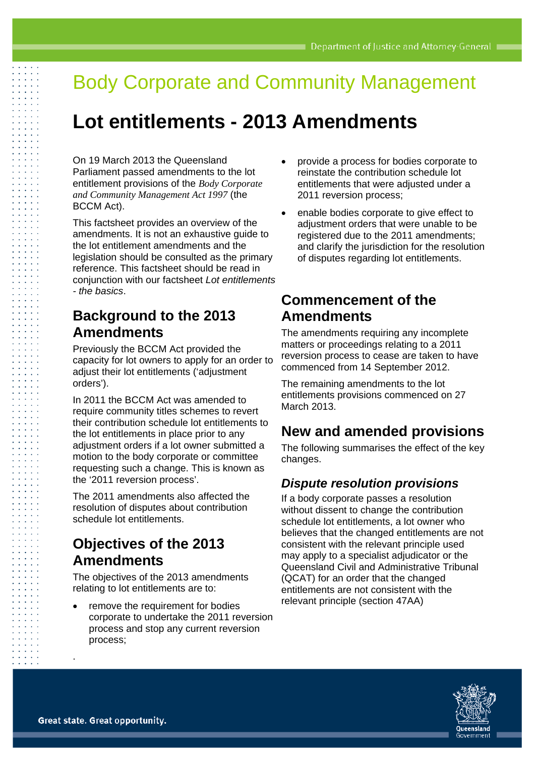# Body Corporate and Community Management

# **Lot entitlements - 2013 Amendments**

On 19 March 2013 the Queensland Parliament passed amendments to the lot entitlement provisions of the *Body Corporate and Community Management Act 1997* (the BCCM Act).

This factsheet provides an overview of the amendments. It is not an exhaustive guide to the lot entitlement amendments and the legislation should be consulted as the primary reference. This factsheet should be read in conjunction with our factsheet *Lot entitlements - the basics*.

## **Background to the 2013 Amendments**

Previously the BCCM Act provided the capacity for lot owners to apply for an order to adjust their lot entitlements ('adjustment orders').

In 2011 the BCCM Act was amended to require community titles schemes to revert their contribution schedule lot entitlements to the lot entitlements in place prior to any adjustment orders if a lot owner submitted a motion to the body corporate or committee requesting such a change. This is known as the '2011 reversion process'.

The 2011 amendments also affected the resolution of disputes about contribution schedule lot entitlements.

# **Objectives of the 2013 Amendments**

The objectives of the 2013 amendments relating to lot entitlements are to:

 remove the requirement for bodies corporate to undertake the 2011 reversion process and stop any current reversion process;

- provide a process for bodies corporate to reinstate the contribution schedule lot entitlements that were adjusted under a 2011 reversion process;
- enable bodies corporate to give effect to adjustment orders that were unable to be registered due to the 2011 amendments; and clarify the jurisdiction for the resolution of disputes regarding lot entitlements.

## **Commencement of the Amendments**

The amendments requiring any incomplete matters or proceedings relating to a 2011 reversion process to cease are taken to have commenced from 14 September 2012.

The remaining amendments to the lot entitlements provisions commenced on 27 March 2013.

# **New and amended provisions**

The following summarises the effect of the key changes.

### *Dispute resolution provisions*

If a body corporate passes a resolution without dissent to change the contribution schedule lot entitlements, a lot owner who believes that the changed entitlements are not consistent with the relevant principle used may apply to a specialist adjudicator or the Queensland Civil and Administrative Tribunal (QCAT) for an order that the changed entitlements are not consistent with the relevant principle (section 47AA)



.

 $\sim 100$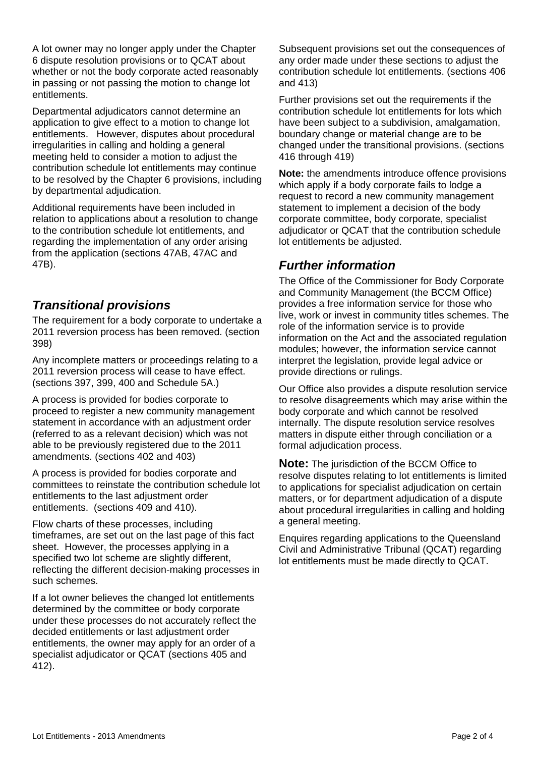A lot owner may no longer apply under the Chapter 6 dispute resolution provisions or to QCAT about whether or not the body corporate acted reasonably in passing or not passing the motion to change lot entitlements.

Departmental adjudicators cannot determine an application to give effect to a motion to change lot entitlements. However, disputes about procedural irregularities in calling and holding a general meeting held to consider a motion to adjust the contribution schedule lot entitlements may continue to be resolved by the Chapter 6 provisions, including by departmental adjudication.

Additional requirements have been included in relation to applications about a resolution to change to the contribution schedule lot entitlements, and regarding the implementation of any order arising from the application (sections 47AB, 47AC and 47B).

### *Transitional provisions*

The requirement for a body corporate to undertake a 2011 reversion process has been removed. (section 398)

Any incomplete matters or proceedings relating to a 2011 reversion process will cease to have effect. (sections 397, 399, 400 and Schedule 5A.)

A process is provided for bodies corporate to proceed to register a new community management statement in accordance with an adjustment order (referred to as a relevant decision) which was not able to be previously registered due to the 2011 amendments. (sections 402 and 403)

A process is provided for bodies corporate and committees to reinstate the contribution schedule lot entitlements to the last adjustment order entitlements. (sections 409 and 410).

Flow charts of these processes, including timeframes, are set out on the last page of this fact sheet. However, the processes applying in a specified two lot scheme are slightly different, reflecting the different decision-making processes in such schemes.

If a lot owner believes the changed lot entitlements determined by the committee or body corporate under these processes do not accurately reflect the decided entitlements or last adjustment order entitlements, the owner may apply for an order of a specialist adjudicator or QCAT (sections 405 and 412).

Subsequent provisions set out the consequences of any order made under these sections to adjust the contribution schedule lot entitlements. (sections 406 and 413)

Further provisions set out the requirements if the contribution schedule lot entitlements for lots which have been subject to a subdivision, amalgamation, boundary change or material change are to be changed under the transitional provisions. (sections 416 through 419)

**Note:** the amendments introduce offence provisions which apply if a body corporate fails to lodge a request to record a new community management statement to implement a decision of the body corporate committee, body corporate, specialist adjudicator or QCAT that the contribution schedule lot entitlements be adjusted.

### *Further information*

The Office of the Commissioner for Body Corporate and Community Management (the BCCM Office) provides a free information service for those who live, work or invest in community titles schemes. The role of the information service is to provide information on the Act and the associated regulation modules; however, the information service cannot interpret the legislation, provide legal advice or provide directions or rulings.

Our Office also provides a dispute resolution service to resolve disagreements which may arise within the body corporate and which cannot be resolved internally. The dispute resolution service resolves matters in dispute either through conciliation or a formal adjudication process.

**Note:** The jurisdiction of the BCCM Office to resolve disputes relating to lot entitlements is limited to applications for specialist adjudication on certain matters, or for department adjudication of a dispute about procedural irregularities in calling and holding a general meeting.

Enquires regarding applications to the Queensland Civil and Administrative Tribunal (QCAT) regarding lot entitlements must be made directly to QCAT.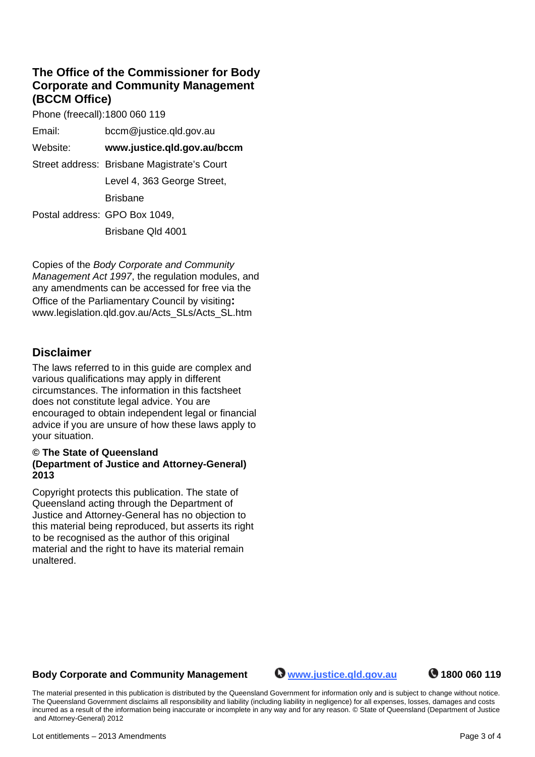### **The Office of the Commissioner for Body Corporate and Community Management (BCCM Office)**

Phone (freecall): 1800 060 119

| Email:   | bccm@justice.qld.gov.au                     |
|----------|---------------------------------------------|
| Website: | www.justice.qld.gov.au/bccm                 |
|          | Street address: Brisbane Magistrate's Court |
|          | Level 4, 363 George Street,                 |
|          | <b>Brisbane</b>                             |
|          | Postal address: GPO Box 1049,               |

Brisbane Qld 4001

Copies of the *Body Corporate and Community Management Act 1997*, the regulation modules, and any amendments can be accessed for free via the Office of the Parliamentary Council by visiting**:**  www.legislation.qld.gov.au/Acts\_SLs/Acts\_SL.htm

### **Disclaimer**

The laws referred to in this guide are complex and various qualifications may apply in different circumstances. The information in this factsheet does not constitute legal advice. You are encouraged to obtain independent legal or financial advice if you are unsure of how these laws apply to your situation.

#### **© The State of Queensland (Department of Justice and Attorney-General) 2013**

Copyright protects this publication. The state of Queensland acting through the Department of Justice and Attorney-General has no objection to this material being reproduced, but asserts its right to be recognised as the author of this original material and the right to have its material remain unaltered.

### Body Corporate and Community Management **Www.justice.qld.gov.au 1800 060 119**

The material presented in this publication is distributed by the Queensland Government for information only and is subject to change without notice. The Queensland Government disclaims all responsibility and liability (including liability in negligence) for all expenses, losses, damages and costs incurred as a result of the information being inaccurate or incomplete in any way and for any reason. © State of Queensland (Department of Justice and Attorney-General) 2012